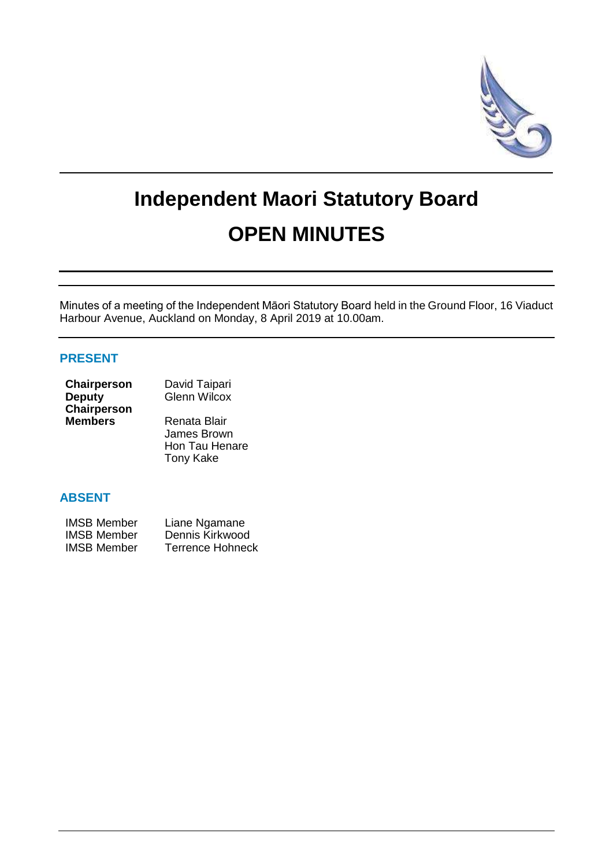

# **Independent Maori Statutory Board OPEN MINUTES**

Minutes of a meeting of the Independent Māori Statutory Board held in the Ground Floor, 16 Viaduct Harbour Avenue, Auckland on Monday, 8 April 2019 at 10.00am.

## **PRESENT**

| <b>Chairperson</b> | David Taipari       |
|--------------------|---------------------|
| <b>Deputy</b>      | <b>Glenn Wilcox</b> |
| Chairperson        |                     |
| <b>Members</b>     | Renata Blair        |
|                    | James Brown         |

James Brown Hon Tau Henare Tony Kake

# **ABSENT**

| <b>IMSB Member</b> | Liane Ngamane           |
|--------------------|-------------------------|
| <b>IMSB Member</b> | Dennis Kirkwood         |
| <b>IMSB Member</b> | <b>Terrence Hohneck</b> |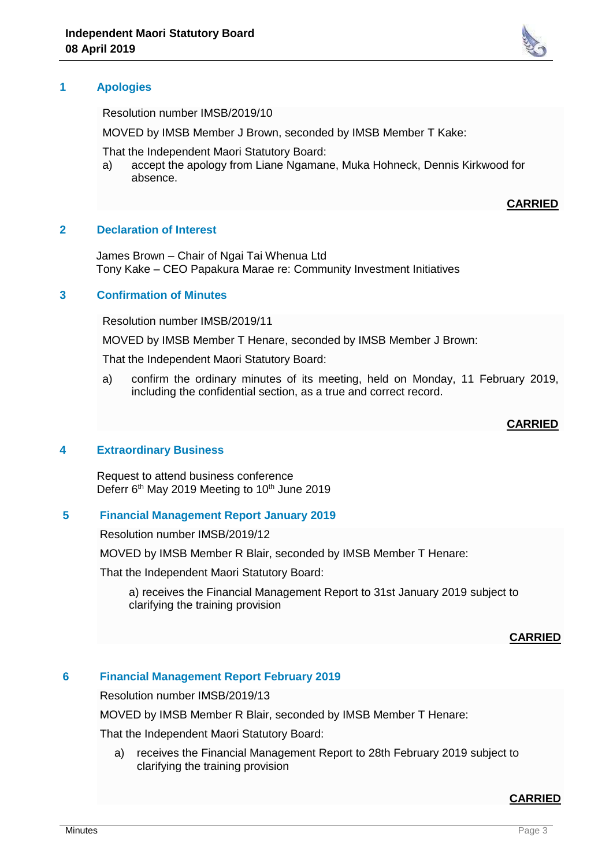### **1 Apologies**

Resolution number IMSB/2019/10

MOVED by IMSB Member J Brown, seconded by IMSB Member T Kake:

That the Independent Maori Statutory Board:

a) accept the apology from Liane Ngamane, Muka Hohneck, Dennis Kirkwood for absence.

#### **CARRIED**

#### **2 Declaration of Interest**

James Brown – Chair of Ngai Tai Whenua Ltd Tony Kake – CEO Papakura Marae re: Community Investment Initiatives

#### **3 Confirmation of Minutes**

Resolution number IMSB/2019/11

MOVED by IMSB Member T Henare, seconded by IMSB Member J Brown:

That the Independent Maori Statutory Board:

a) confirm the ordinary minutes of its meeting, held on Monday, 11 February 2019, including the confidential section, as a true and correct record.

#### **CARRIED**

#### **4 Extraordinary Business**

Request to attend business conference Deferr 6<sup>th</sup> May 2019 Meeting to 10<sup>th</sup> June 2019

#### **5 Financial Management Report January 2019**

Resolution number IMSB/2019/12

MOVED by IMSB Member R Blair, seconded by IMSB Member T Henare:

That the Independent Maori Statutory Board:

a) receives the Financial Management Report to 31st January 2019 subject to clarifying the training provision

#### **CARRIED**

## **6 Financial Management Report February 2019**

Resolution number IMSB/2019/13

MOVED by IMSB Member R Blair, seconded by IMSB Member T Henare:

That the Independent Maori Statutory Board:

a) receives the Financial Management Report to 28th February 2019 subject to clarifying the training provision

#### **CARRIED**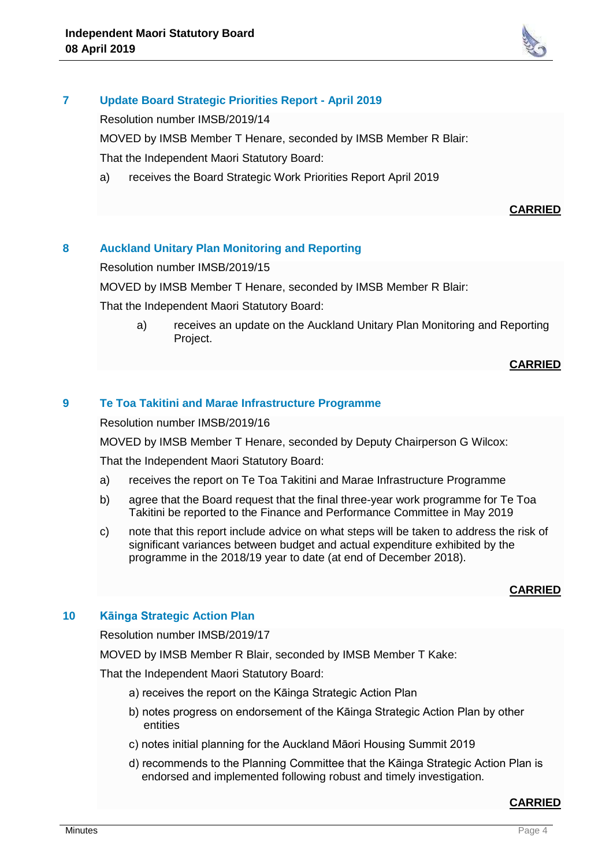

## **7 Update Board Strategic Priorities Report - April 2019**

Resolution number IMSB/2019/14

MOVED by IMSB Member T Henare, seconded by IMSB Member R Blair:

That the Independent Maori Statutory Board:

a) receives the Board Strategic Work Priorities Report April 2019

## **CARRIED**

## **8 Auckland Unitary Plan Monitoring and Reporting**

Resolution number IMSB/2019/15

MOVED by IMSB Member T Henare, seconded by IMSB Member R Blair:

That the Independent Maori Statutory Board:

a) receives an update on the Auckland Unitary Plan Monitoring and Reporting Project.

#### **CARRIED**

## **9 Te Toa Takitini and Marae Infrastructure Programme**

Resolution number IMSB/2019/16

MOVED by IMSB Member T Henare, seconded by Deputy Chairperson G Wilcox:

That the Independent Maori Statutory Board:

- a) receives the report on Te Toa Takitini and Marae Infrastructure Programme
- b) agree that the Board request that the final three-year work programme for Te Toa Takitini be reported to the Finance and Performance Committee in May 2019
- c) note that this report include advice on what steps will be taken to address the risk of significant variances between budget and actual expenditure exhibited by the programme in the 2018/19 year to date (at end of December 2018).

## **CARRIED**

## **10 Kāinga Strategic Action Plan**

Resolution number IMSB/2019/17

MOVED by IMSB Member R Blair, seconded by IMSB Member T Kake:

That the Independent Maori Statutory Board:

- a) receives the report on the Kāinga Strategic Action Plan
- b) notes progress on endorsement of the Kāinga Strategic Action Plan by other entities
- c) notes initial planning for the Auckland Māori Housing Summit 2019
- d) recommends to the Planning Committee that the Kāinga Strategic Action Plan is endorsed and implemented following robust and timely investigation.

## **CARRIED**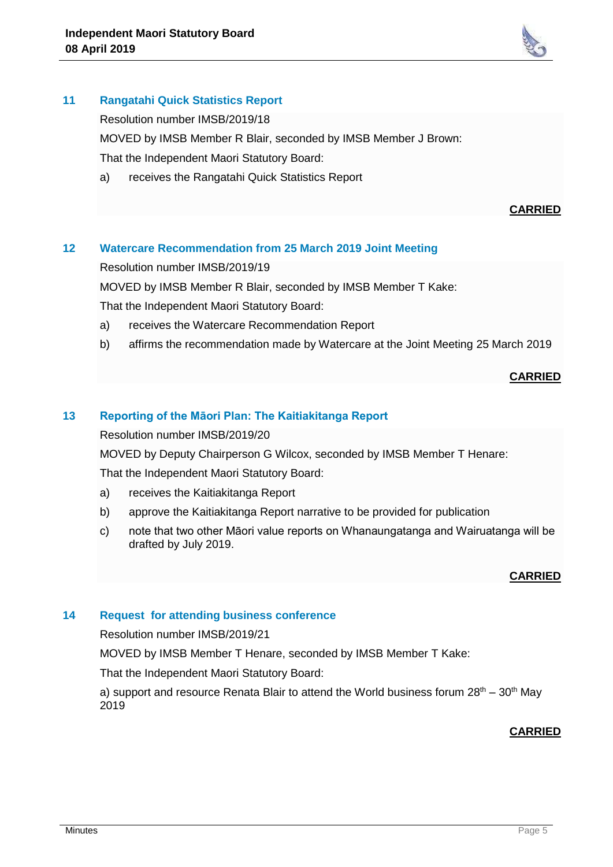

# **11 Rangatahi Quick Statistics Report**

Resolution number IMSB/2019/18

MOVED by IMSB Member R Blair, seconded by IMSB Member J Brown:

That the Independent Maori Statutory Board:

a) receives the Rangatahi Quick Statistics Report

## **CARRIED**

# **12 Watercare Recommendation from 25 March 2019 Joint Meeting**

Resolution number IMSB/2019/19

MOVED by IMSB Member R Blair, seconded by IMSB Member T Kake:

That the Independent Maori Statutory Board:

- a) receives the Watercare Recommendation Report
- b) affirms the recommendation made by Watercare at the Joint Meeting 25 March 2019

## **CARRIED**

## **13 Reporting of the Māori Plan: The Kaitiakitanga Report**

Resolution number IMSB/2019/20

MOVED by Deputy Chairperson G Wilcox, seconded by IMSB Member T Henare:

That the Independent Maori Statutory Board:

- a) receives the Kaitiakitanga Report
- b) approve the Kaitiakitanga Report narrative to be provided for publication
- c) note that two other Māori value reports on Whanaungatanga and Wairuatanga will be drafted by July 2019.

#### **CARRIED**

## **14 Request for attending business conference**

Resolution number IMSB/2019/21

MOVED by IMSB Member T Henare, seconded by IMSB Member T Kake:

That the Independent Maori Statutory Board:

a) support and resource Renata Blair to attend the World business forum  $28<sup>th</sup> - 30<sup>th</sup>$  May 2019

# **CARRIED**